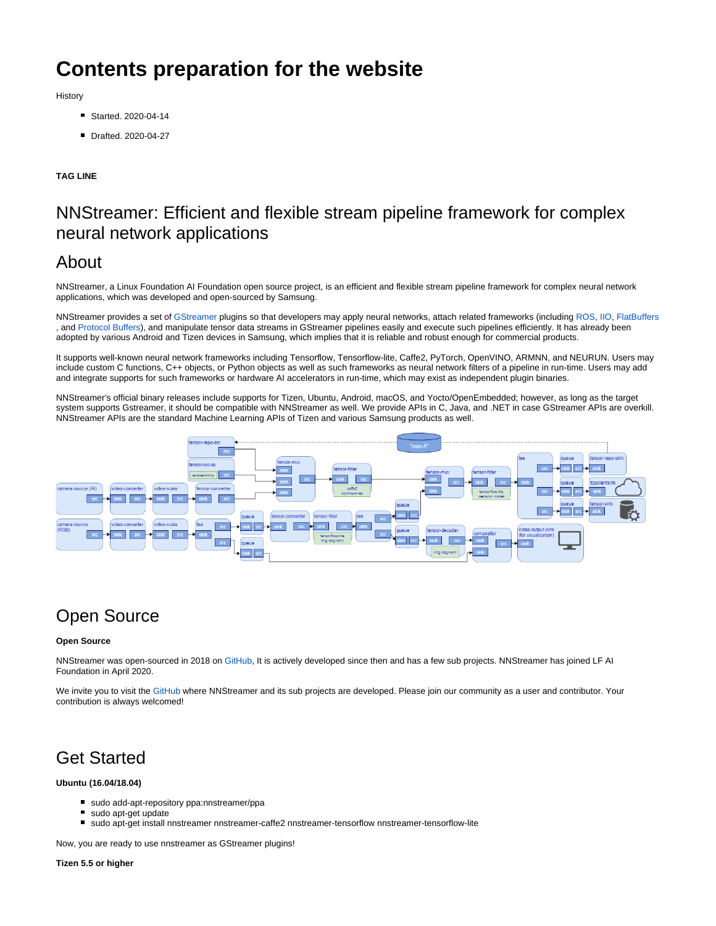# **Contents preparation for the website**

**History** 

- Started. 2020-04-14
- Drafted. 2020-04-27

#### **TAG LINE**

### NNStreamer: Efficient and flexible stream pipeline framework for complex neural network applications

### About

NNStreamer, a Linux Foundation AI Foundation open source project, is an efficient and flexible stream pipeline framework for complex neural network applications, which was developed and open-sourced by Samsung.

NNStreamer provides a set of [GStreamer p](https://gstreamer.freedesktop.org/)lugins so that developers may apply neural networks, attach related frameworks (including [ROS](https://www.ros.org/), [IIO](https://www.kernel.org/doc/html/latest/driver-api/iio/index.html), [FlatBuffers](https://google.github.io/flatbuffers/) , and [Protocol Buffers](https://developers.google.com/protocol-buffers)), and manipulate tensor data streams in GStreamer pipelines easily and execute such pipelines efficiently. It has already been adopted by various Android and Tizen devices in Samsung, which implies that it is reliable and robust enough for commercial products.

It supports well-known neural network frameworks including Tensorflow, Tensorflow-lite, Caffe2, PyTorch, OpenVINO, ARMNN, and NEURUN. Users may include custom C functions, C++ objects, or Python objects as well as such frameworks as neural network filters of a pipeline in run-time. Users may add and integrate supports for such frameworks or hardware AI accelerators in run-time, which may exist as independent plugin binaries.

NNStreamer's official binary releases include supports for Tizen, Ubuntu, Android, macOS, and Yocto/OpenEmbedded; however, as long as the target system supports Gstreamer, it should be compatible with NNStreamer as well. We provide APIs in C, Java, and .NET in case GStreamer APIs are overkill. NNStreamer APIs are the standard Machine Learning APIs of Tizen and various Samsung products as well.



## Open Source

#### **Open Source**

NNStreamer was open-sourced in 2018 on [GitHub,](https://github.com/nnstreamer/nnstreamer) It is actively developed since then and has a few sub projects. NNStreamer has joined LF AI Foundation in April 2020.

We invite you to visit the [GitHub](https://github.com/nnstreamer) where NNStreamer and its sub projects are developed. Please join our community as a user and contributor. Your contribution is always welcomed!

## Get Started

#### **Ubuntu (16.04/18.04)**

- sudo add-apt-repository ppa:nnstreamer/ppa
- sudo apt-get update
- sudo apt-get install nnstreamer nnstreamer-caffe2 nnstreamer-tensorflow nnstreamer-tensorflow-lite

Now, you are ready to use nnstreamer as GStreamer plugins!